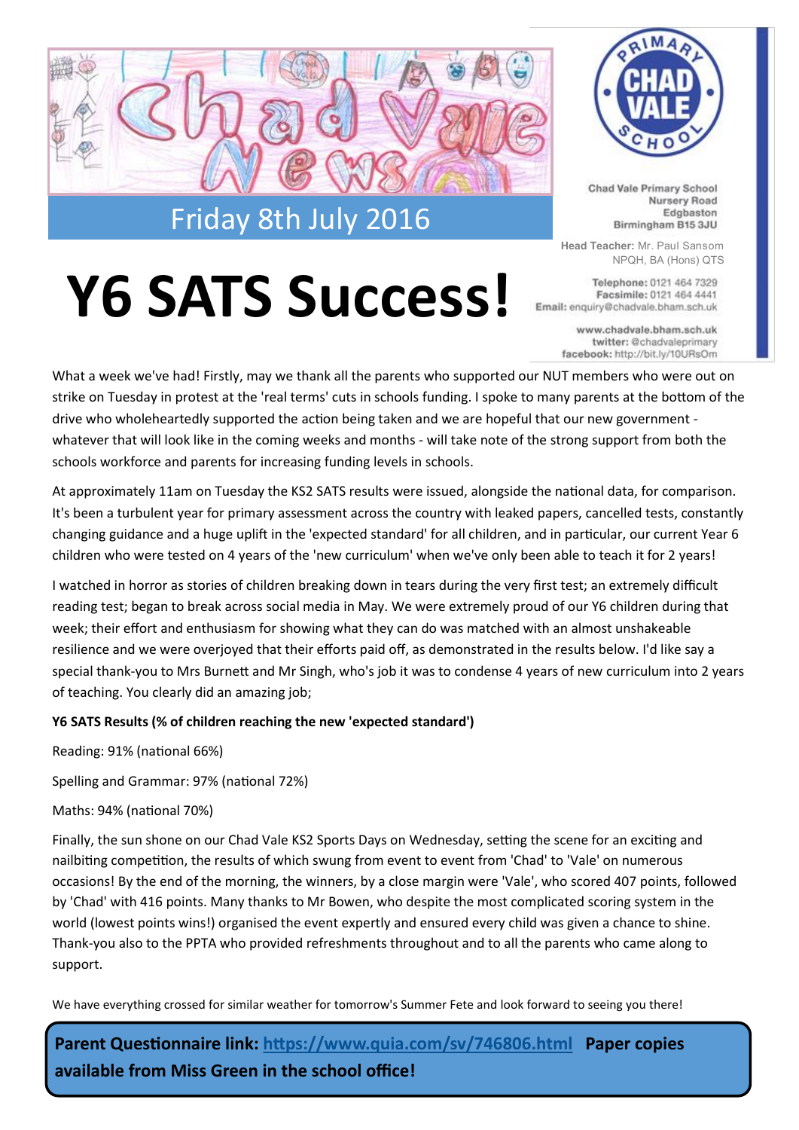

## **Y6 SATS Success!**



Chad Vale Primary School Nursery Road Edgbaston Birmingham B15 3JU

**Head Teacher:** Mr. Paul Sansom NPQH, BA (Hons) QTS

Telephone: 0121 464 7329 Facsimile: 0121 464 4441 Email: enquiry@chadvale.bham.sch.uk

> www.chadvale.bham.sch.uk twitter: @chadvaleprimary facebook: http://bit.ly/10URsOm

What a week we've had! Firstly, may we thank all the parents who supported our NUT members who were out on strike on Tuesday in protest at the 'real terms' cuts in schools funding. I spoke to many parents at the bottom of the drive who wholeheartedly supported the action being taken and we are hopeful that our new government whatever that will look like in the coming weeks and months - will take note of the strong support from both the schools workforce and parents for increasing funding levels in schools.

At approximately 11am on Tuesday the KS2 SATS results were issued, alongside the national data, for comparison. It's been a turbulent year for primary assessment across the country with leaked papers, cancelled tests, constantly changing guidance and a huge uplift in the 'expected standard' for all children, and in particular, our current Year 6 children who were tested on 4 years of the 'new curriculum' when we've only been able to teach it for 2 years!

I watched in horror as stories of children breaking down in tears during the very first test; an extremely difficult reading test; began to break across social media in May. We were extremely proud of our Y6 children during that week; their effort and enthusiasm for showing what they can do was matched with an almost unshakeable resilience and we were overjoyed that their efforts paid off, as demonstrated in the results below. I'd like say a special thank-you to Mrs Burnett and Mr Singh, who's job it was to condense 4 years of new curriculum into 2 years of teaching. You clearly did an amazing job;

#### **Y6 SATS Results (% of children reaching the new 'expected standard')**

Reading: 91% (national 66%)

Spelling and Grammar: 97% (national 72%)

Maths: 94% (national 70%)

Finally, the sun shone on our Chad Vale KS2 Sports Days on Wednesday, setting the scene for an exciting and nailbiting competition, the results of which swung from event to event from 'Chad' to 'Vale' on numerous occasions! By the end of the morning, the winners, by a close margin were 'Vale', who scored 407 points, followed by 'Chad' with 416 points. Many thanks to Mr Bowen, who despite the most complicated scoring system in the world (lowest points wins!) organised the event expertly and ensured every child was given a chance to shine. Thank-you also to the PPTA who provided refreshments throughout and to all the parents who came along to support.

We have everything crossed for similar weather for tomorrow's Summer Fete and look forward to seeing you there!

**Parent Questionnaire link:<https://www.quia.com/sv/746806.html>Paper copies available from Miss Green in the school office!**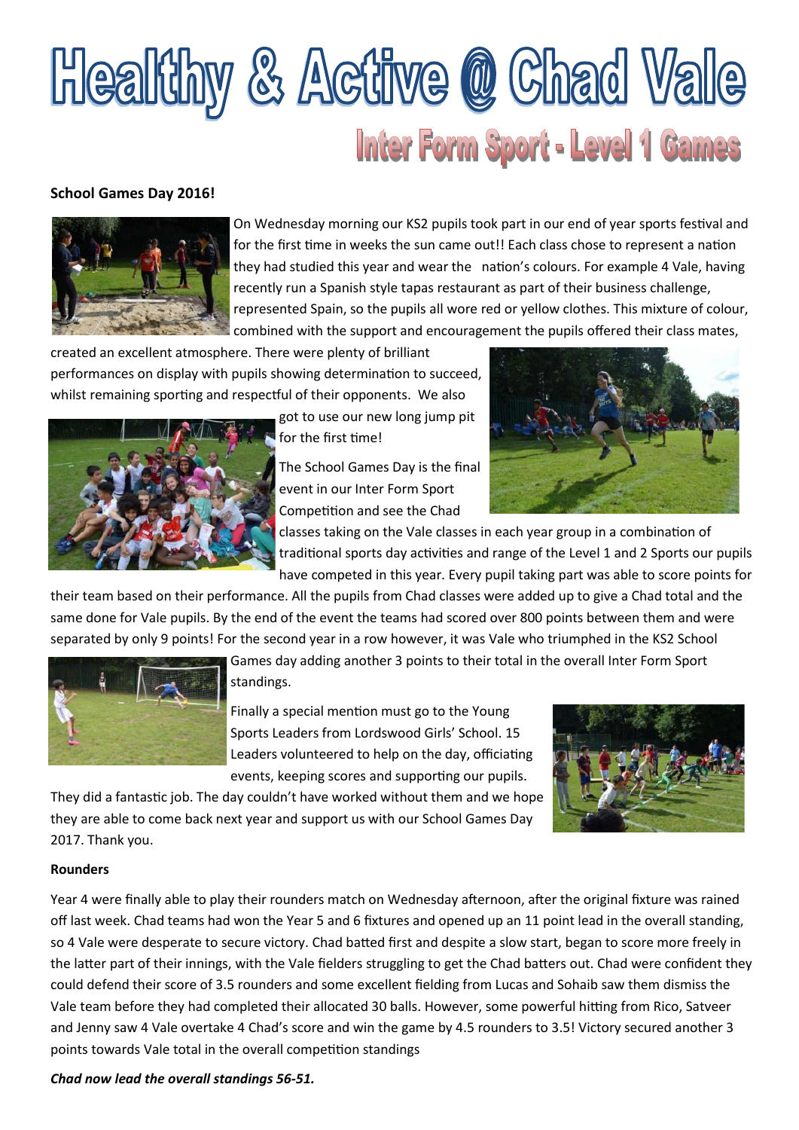## **Healthy & Active @ Chad Vale Inter Form Sport - Level 1 Games**

#### **School Games Day 2016!**



On Wednesday morning our KS2 pupils took part in our end of year sports festival and for the first time in weeks the sun came out!! Each class chose to represent a nation they had studied this year and wear the nation's colours. For example 4 Vale, having recently run a Spanish style tapas restaurant as part of their business challenge, represented Spain, so the pupils all wore red or yellow clothes. This mixture of colour, combined with the support and encouragement the pupils offered their class mates,

created an excellent atmosphere. There were plenty of brilliant performances on display with pupils showing determination to succeed, whilst remaining sporting and respectful of their opponents. We also



got to use our new long jump pit for the first time!

The School Games Day is the final event in our Inter Form Sport Competition and see the Chad



classes taking on the Vale classes in each year group in a combination of traditional sports day activities and range of the Level 1 and 2 Sports our pupils have competed in this year. Every pupil taking part was able to score points for

their team based on their performance. All the pupils from Chad classes were added up to give a Chad total and the same done for Vale pupils. By the end of the event the teams had scored over 800 points between them and were separated by only 9 points! For the second year in a row however, it was Vale who triumphed in the KS2 School



Games day adding another 3 points to their total in the overall Inter Form Sport

standings.

they are able to come back next year and support us with our School Games Day

Finally a special mention must go to the Young Sports Leaders from Lordswood Girls' School. 15 Leaders volunteered to help on the day, officiating events, keeping scores and supporting our pupils.



#### **Rounders**

2017. Thank you.

Year 4 were finally able to play their rounders match on Wednesday afternoon, after the original fixture was rained off last week. Chad teams had won the Year 5 and 6 fixtures and opened up an 11 point lead in the overall standing, so 4 Vale were desperate to secure victory. Chad batted first and despite a slow start, began to score more freely in the latter part of their innings, with the Vale fielders struggling to get the Chad batters out. Chad were confident they could defend their score of 3.5 rounders and some excellent fielding from Lucas and Sohaib saw them dismiss the Vale team before they had completed their allocated 30 balls. However, some powerful hitting from Rico, Satveer and Jenny saw 4 Vale overtake 4 Chad's score and win the game by 4.5 rounders to 3.5! Victory secured another 3 points towards Vale total in the overall competition standings

*Chad now lead the overall standings 56-51.*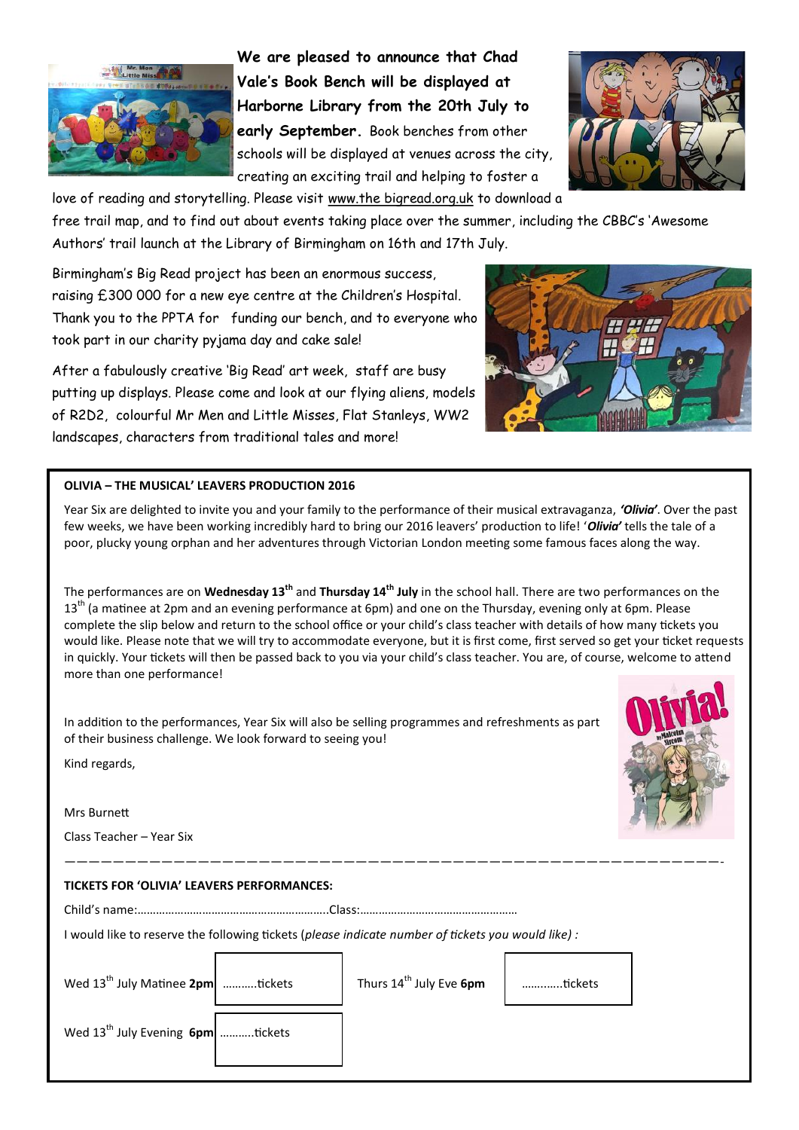

**We are pleased to announce that Chad Vale's Book Bench will be displayed at Harborne Library from the 20th July to early September.** Book benches from other schools will be displayed at venues across the city, creating an exciting trail and helping to foster a



love of reading and storytelling. Please visit www.the bigread.org.uk to download a free trail map, and to find out about events taking place over the summer, including the CBBC's 'Awesome Authors' trail launch at the Library of Birmingham on 16th and 17th July.

Birmingham's Big Read project has been an enormous success, raising £300 000 for a new eye centre at the Children's Hospital. Thank you to the PPTA for funding our bench, and to everyone who took part in our charity pyjama day and cake sale!

After a fabulously creative 'Big Read' art week, staff are busy putting up displays. Please come and look at our flying aliens, models of R2D2, colourful Mr Men and Little Misses, Flat Stanleys, WW2 landscapes, characters from traditional tales and more!



#### **OLIVIA – THE MUSICAL' LEAVERS PRODUCTION 2016**

Year Six are delighted to invite you and your family to the performance of their musical extravaganza, *'Olivia'*. Over the past few weeks, we have been working incredibly hard to bring our 2016 leavers' production to life! '*Olivia'* tells the tale of a poor, plucky young orphan and her adventures through Victorian London meeting some famous faces along the way.

The performances are on **Wednesday 13th** and **Thursday 14th July** in the school hall. There are two performances on the 13<sup>th</sup> (a matinee at 2pm and an evening performance at 6pm) and one on the Thursday, evening only at 6pm. Please complete the slip below and return to the school office or your child's class teacher with details of how many tickets you would like. Please note that we will try to accommodate everyone, but it is first come, first served so get your ticket requests in quickly. Your tickets will then be passed back to you via your child's class teacher. You are, of course, welcome to attend more than one performance!

——————————————————————————————————————————————————————-

In addition to the performances, Year Six will also be selling programmes and refreshments as part of their business challenge. We look forward to seeing you!

Kind regards,

Mrs Burnett

Class Teacher – Year Six

#### **TICKETS FOR 'OLIVIA' LEAVERS PERFORMANCES:**

Child's name:……………………………………………………..Class:……………………………………………

I would like to reserve the following tickets (*please indicate number of tickets you would like) :*

| Wed $13^{th}$ July Matinee 2pm $\vert$ tickets | Thurs 14 <sup>th</sup> July Eve 6pm | tickets |
|------------------------------------------------|-------------------------------------|---------|
|                                                |                                     |         |

Wed 13<sup>th</sup> July Evening **6pm** ..........tickets